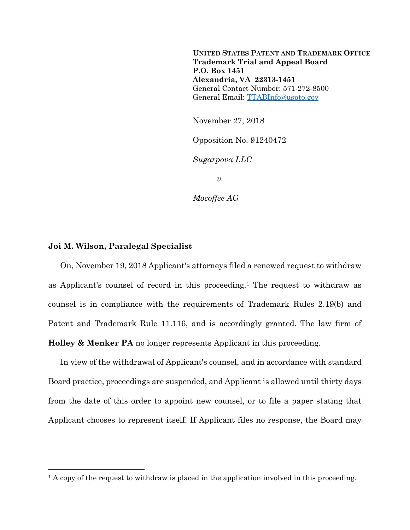**UNITED STATES PATENT AND TRADEMARK OFFICE Trademark Trial and Appeal Board P.O. Box 1451 Alexandria, VA 22313-1451**  General Contact Number: 571-272-8500 General Email: TTABInfo@uspto.gov

November 27, 2018

Opposition No. 91240472

*Sugarpova LLC* 

*v.* 

*Mocoffee AG* 

## **Joi M. Wilson, Paralegal Specialist**

1

On, November 19, 2018 Applicant's attorneys filed a renewed request to withdraw as Applicant's counsel of record in this proceeding.1 The request to withdraw as counsel is in compliance with the requirements of Trademark Rules 2.19(b) and Patent and Trademark Rule 11.116, and is accordingly granted. The law firm of **Holley & Menker PA** no longer represents Applicant in this proceeding.

In view of the withdrawal of Applicant's counsel, and in accordance with standard Board practice, proceedings are suspended, and Applicant is allowed until thirty days from the date of this order to appoint new counsel, or to file a paper stating that Applicant chooses to represent itself. If Applicant files no response, the Board may

<sup>&</sup>lt;sup>1</sup> A copy of the request to withdraw is placed in the application involved in this proceeding.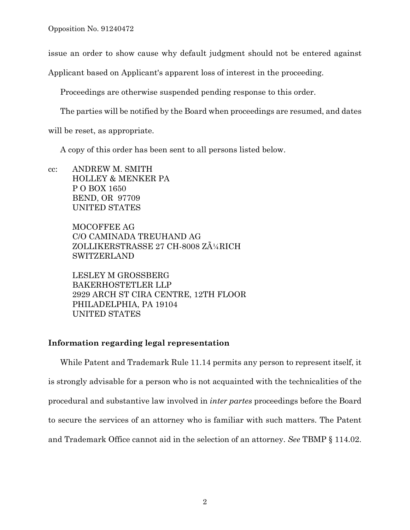issue an order to show cause why default judgment should not be entered against

Applicant based on Applicant's apparent loss of interest in the proceeding.

Proceedings are otherwise suspended pending response to this order.

The parties will be notified by the Board when proceedings are resumed, and dates

will be reset, as appropriate.

A copy of this order has been sent to all persons listed below.

cc: ANDREW M. SMITH HOLLEY & MENKER PA P O BOX 1650 BEND, OR 97709 UNITED STATES

> MOCOFFEE AG C/O CAMINADA TREUHAND AG ZOLLIKERSTRASSE 27 CH-8008 ZļRICH SWITZERLAND

LESLEY M GROSSBERG BAKERHOSTETLER LLP 2929 ARCH ST CIRA CENTRE, 12TH FLOOR PHILADELPHIA, PA 19104 UNITED STATES

## **Information regarding legal representation**

While Patent and Trademark Rule 11.14 permits any person to represent itself, it is strongly advisable for a person who is not acquainted with the technicalities of the procedural and substantive law involved in *inter partes* proceedings before the Board to secure the services of an attorney who is familiar with such matters. The Patent and Trademark Office cannot aid in the selection of an attorney. *See* TBMP § 114.02.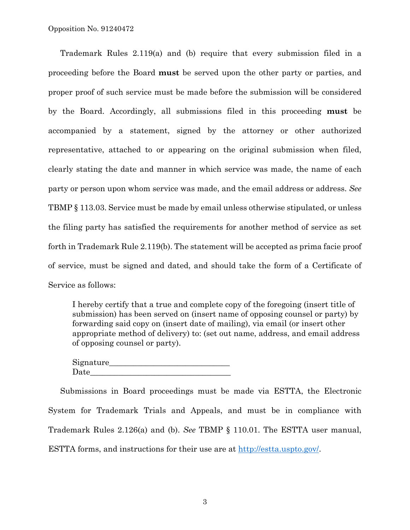Trademark Rules 2.119(a) and (b) require that every submission filed in a proceeding before the Board **must** be served upon the other party or parties, and proper proof of such service must be made before the submission will be considered by the Board. Accordingly, all submissions filed in this proceeding **must** be accompanied by a statement, signed by the attorney or other authorized representative, attached to or appearing on the original submission when filed, clearly stating the date and manner in which service was made, the name of each party or person upon whom service was made, and the email address or address. *See* TBMP § 113.03. Service must be made by email unless otherwise stipulated, or unless the filing party has satisfied the requirements for another method of service as set forth in Trademark Rule 2.119(b). The statement will be accepted as prima facie proof of service, must be signed and dated, and should take the form of a Certificate of Service as follows:

I hereby certify that a true and complete copy of the foregoing (insert title of submission) has been served on (insert name of opposing counsel or party) by forwarding said copy on (insert date of mailing), via email (or insert other appropriate method of delivery) to: (set out name, address, and email address of opposing counsel or party).

Signature\_\_\_\_\_\_\_\_\_\_\_\_\_\_\_\_\_\_\_\_\_\_\_\_\_\_\_\_\_\_ Date

Submissions in Board proceedings must be made via ESTTA, the Electronic System for Trademark Trials and Appeals, and must be in compliance with Trademark Rules 2.126(a) and (b). *See* TBMP § 110.01. The ESTTA user manual, ESTTA forms, and instructions for their use are at http://estta.uspto.gov/.

3